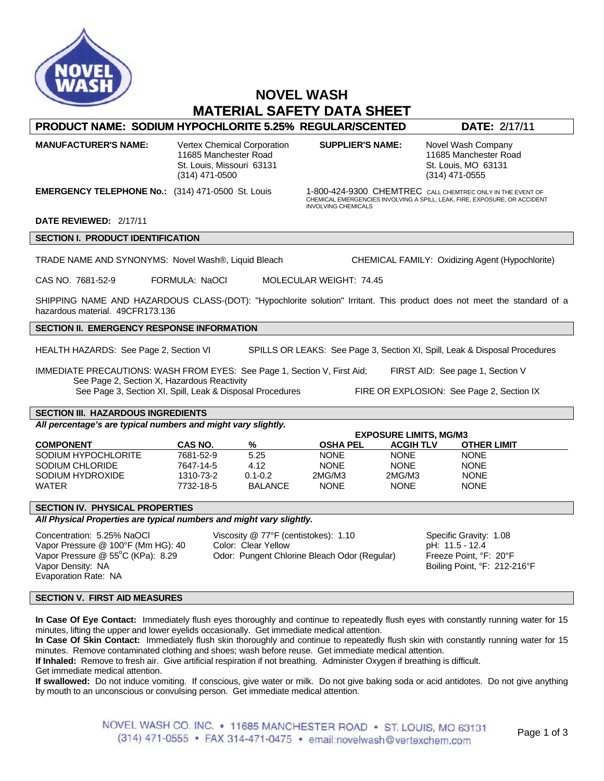

# **NOVEL WASH MATERIAL SAFETY DATA SHEET**

## **PRODUCT NAME: SODIUM HYPOCHLORITE 5.25% REGULAR/SCENTED DATE:** 2/17/11

**MANUFACTURER'S NAME:** Vertex Chemical Corporation **SUPPLIER'S NAME:** Novel Wash Company 11685 Manchester Road 11685 Manchester Road 11685 Manchester Road 5t. Louis, MO 63131 St. Louis, Missouri 63131 (314) 471-0500 (314) 471-0555

**EMERGENCY TELEPHONE No.:** (314) 471-0500 St. Louis 1-800-424-9300 CHEMTREC CALL CHEMTREC ONLY IN THE EVENT OF CHEMICAL EMERGENCIES INVOLVING A SPILL, LEAK, FIRE, EXPOSURE, OR ACCIDENT INVOLVING CHEMICALS

#### **DATE REVIEWED:** 2/17/11

**SECTION I. PRODUCT IDENTIFICATION** 

TRADE NAME AND SYNONYMS: Novel Wash®, Liquid Bleach CHEMICAL FAMILY: Oxidizing Agent (Hypochlorite)

CAS NO. 7681-52-9 FORMULA: NaOCl MOLECULAR WEIGHT: 74.45

SHIPPING NAME AND HAZARDOUS CLASS-(DOT): "Hypochlorite solution" Irritant. This product does not meet the standard of a hazardous material. 49CFR173.136

## **SECTION II. EMERGENCY RESPONSE INFORMATION**

HEALTH HAZARDS: See Page 2, Section VI SPILLS OR LEAKS: See Page 3, Section XI, Spill, Leak & Disposal Procedures

IMMEDIATE PRECAUTIONS: WASH FROM EYES: See Page 1, Section V, First Aid; FIRST AID: See page 1, Section V See Page 2, Section X, Hazardous Reactivity See Page 3, Section XI, Spill, Leak & Disposal Procedures FIRE OR EXPLOSION: See Page 2, Section IX

## **SECTION III. HAZARDOUS INGREDIENTS**

*All percentage's are typical numbers and might vary slightly.* 

|                     |                | <b>EXPOSURE LIMITS, MG/M3</b> |                 |                  |                    |  |
|---------------------|----------------|-------------------------------|-----------------|------------------|--------------------|--|
| <b>COMPONENT</b>    | <b>CAS NO.</b> | %                             | <b>OSHA PEL</b> | <b>ACGIH TLV</b> | <b>OTHER LIMIT</b> |  |
| SODIUM HYPOCHLORITE | 7681-52-9      | 5.25                          | <b>NONE</b>     | <b>NONE</b>      | <b>NONE</b>        |  |
| SODIUM CHLORIDE     | 7647-14-5      | 4.12                          | <b>NONE</b>     | <b>NONE</b>      | <b>NONE</b>        |  |
| SODIUM HYDROXIDE    | 1310-73-2      | $0.1 - 0.2$                   | 2MG/M3          | 2MG/M3           | <b>NONE</b>        |  |
| <b>WATER</b>        | 7732-18-5      | <b>BALANCE</b>                | <b>NONE</b>     | <b>NONE</b>      | <b>NONE</b>        |  |

## **SECTION IV. PHYSICAL PROPERTIES**

*All Physical Properties are typical numbers and might vary slightly.* 

Vapor Pressure  $@$  55 $°C$  (KPa): 8.29 Vapor Density: NA Boiling Point, °F: 212-216°F Evaporation Rate: NA

Concentration: 5.25% NaOCl Viscosity @ 77°F (centistokes): 1.10 Specific Gravity: 1.08 Vapor Pressure @ 100°F (Mm HG): 40 Color: Clear Yellow pH: 11.5 - 12.4 Odor: Pungent Chlorine Bleach Odor (Regular)

## **SECTION V. FIRST AID MEASURES**

**In Case Of Eye Contact:** Immediately flush eyes thoroughly and continue to repeatedly flush eyes with constantly running water for 15 minutes, lifting the upper and lower eyelids occasionally. Get immediate medical attention.

**In Case Of Skin Contact:** Immediately flush skin thoroughly and continue to repeatedly flush skin with constantly running water for 15 minutes. Remove contaminated clothing and shoes; wash before reuse. Get immediate medical attention.

**If Inhaled:** Remove to fresh air. Give artificial respiration if not breathing. Administer Oxygen if breathing is difficult.

Get immediate medical attention.

**If swallowed:** Do not induce vomiting. If conscious, give water or milk. Do not give baking soda or acid antidotes. Do not give anything by mouth to an unconscious or convulsing person. Get immediate medical attention.

> NOVEL WASH CO. INC. • 11685 MANCHESTER ROAD • ST. LOUIS, MO 63131 (314) 471-0555 • FAX 314-471-0475 • email:novelwash@vertexchem.com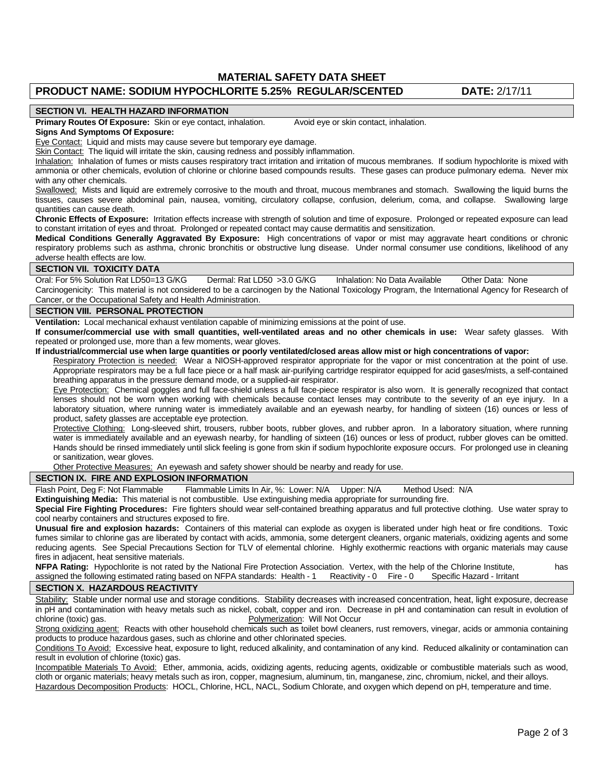**MATERIAL SAFETY DATA SHEET** 

## **PRODUCT NAME: SODIUM HYPOCHLORITE 5.25% REGULAR/SCENTED DATE:** 2/17/11

#### **SECTION VI. HEALTH HAZARD INFORMATION**

**Primary Routes Of Exposure:** Skin or eye contact, inhalation. Avoid eye or skin contact, inhalation.

#### **Signs And Symptoms Of Exposure:**

Eye Contact: Liquid and mists may cause severe but temporary eye damage.

Skin Contact: The liquid will irritate the skin, causing redness and possibly inflammation.

Inhalation: Inhalation of fumes or mists causes respiratory tract irritation and irritation of mucous membranes. If sodium hypochlorite is mixed with ammonia or other chemicals, evolution of chlorine or chlorine based compounds results. These gases can produce pulmonary edema. Never mix with any other chemicals.

Swallowed: Mists and liquid are extremely corrosive to the mouth and throat, mucous membranes and stomach. Swallowing the liquid burns the tissues, causes severe abdominal pain, nausea, vomiting, circulatory collapse, confusion, delerium, coma, and collapse. Swallowing large quantities can cause death.

**Chronic Effects of Exposure:** Irritation effects increase with strength of solution and time of exposure. Prolonged or repeated exposure can lead to constant irritation of eyes and throat. Prolonged or repeated contact may cause dermatitis and sensitization.

**Medical Conditions Generally Aggravated By Exposure:** High concentrations of vapor or mist may aggravate heart conditions or chronic respiratory problems such as asthma, chronic bronchitis or obstructive lung disease. Under normal consumer use conditions, likelihood of any adverse health effects are low.

#### **SECTION VII. TOXICITY DATA**

Oral: For 5% Solution Rat LD50=13 G/KG Dermal: Rat LD50 >3.0 G/KG Inhalation: No Data Available Other Data: None Carcinogenicity: This material is not considered to be a carcinogen by the National Toxicology Program, the International Agency for Research of Cancer, or the Occupational Safety and Health Administration.

#### **SECTION VIII. PERSONAL PROTECTION**

**Ventilation:** Local mechanical exhaust ventilation capable of minimizing emissions at the point of use.

**If consumer/commercial use with small quantities, well-ventilated areas and no other chemicals in use:** Wear safety glasses. With repeated or prolonged use, more than a few moments, wear gloves.

#### **If industrial/commercial use when large quantities or poorly ventilated/closed areas allow mist or high concentrations of vapor:**

Respiratory Protection is needed: Wear a NIOSH-approved respirator appropriate for the vapor or mist concentration at the point of use. Appropriate respirators may be a full face piece or a half mask air-purifying cartridge respirator equipped for acid gases/mists, a self-contained breathing apparatus in the pressure demand mode, or a supplied-air respirator.

Eye Protection: Chemical goggles and full face-shield unless a full face-piece respirator is also worn. It is generally recognized that contact lenses should not be worn when working with chemicals because contact lenses may contribute to the severity of an eye injury. In a laboratory situation, where running water is immediately available and an eyewash nearby, for handling of sixteen (16) ounces or less of product, safety glasses are acceptable eye protection.

Protective Clothing: Long-sleeved shirt, trousers, rubber boots, rubber gloves, and rubber apron. In a laboratory situation, where running water is immediately available and an eyewash nearby, for handling of sixteen (16) ounces or less of product, rubber gloves can be omitted. Hands should be rinsed immediately until slick feeling is gone from skin if sodium hypochlorite exposure occurs. For prolonged use in cleaning or sanitization, wear gloves.

Other Protective Measures: An eyewash and safety shower should be nearby and ready for use.

#### **SECTION IX. FIRE AND EXPLOSION INFORMATION**

Flash Point, Deg F: Not Flammable Flammable Limits In Air, %: Lower: N/A Upper: N/A Method Used: N/A

**Extinguishing Media:** This material is not combustible. Use extinguishing media appropriate for surrounding fire.

**Special Fire Fighting Procedures:** Fire fighters should wear self-contained breathing apparatus and full protective clothing. Use water spray to cool nearby containers and structures exposed to fire.

**Unusual fire and explosion hazards:** Containers of this material can explode as oxygen is liberated under high heat or fire conditions. Toxic fumes similar to chlorine gas are liberated by contact with acids, ammonia, some detergent cleaners, organic materials, oxidizing agents and some reducing agents. See Special Precautions Section for TLV of elemental chlorine. Highly exothermic reactions with organic materials may cause fires in adjacent, heat sensitive materials.

**NFPA Rating:** Hypochlorite is not rated by the National Fire Protection Association. Vertex, with the help of the Chlorine Institute, assigned the following estimated rating based on NFPA standards: Health - 1 Reactivity - 0 Fire - 0 Specific Hazard - Irritant

#### **SECTION X. HAZARDOUS REACTIVITY**

Stability: Stable under normal use and storage conditions. Stability decreases with increased concentration, heat, light exposure, decrease in pH and contamination with heavy metals such as nickel, cobalt, copper and iron. Decrease in pH and contamination can result in evolution of chlorine (toxic) gas. The change of the change of the change of the Polymerization: Will Not Occur

Strong oxidizing agent: Reacts with other household chemicals such as toilet bowl cleaners, rust removers, vinegar, acids or ammonia containing products to produce hazardous gases, such as chlorine and other chlorinated species.

Conditions To Avoid: Excessive heat, exposure to light, reduced alkalinity, and contamination of any kind. Reduced alkalinity or contamination can result in evolution of chlorine (toxic) gas.

Incompatible Materials To Avoid: Ether, ammonia, acids, oxidizing agents, reducing agents, oxidizable or combustible materials such as wood, cloth or organic materials; heavy metals such as iron, copper, magnesium, aluminum, tin, manganese, zinc, chromium, nickel, and their alloys. Hazardous Decomposition Products: HOCL, Chlorine, HCL, NACL, Sodium Chlorate, and oxygen which depend on pH, temperature and time.